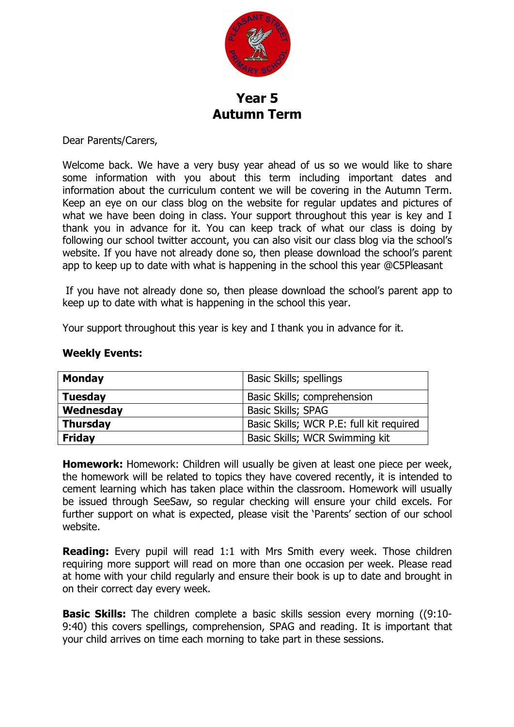

## **Year 5 Autumn Term**

Dear Parents/Carers,

Welcome back. We have a very busy year ahead of us so we would like to share some information with you about this term including important dates and information about the curriculum content we will be covering in the Autumn Term. Keep an eye on our class blog on the website for regular updates and pictures of what we have been doing in class. Your support throughout this year is key and I thank you in advance for it. You can keep track of what our class is doing by following our school twitter account, you can also visit our class blog via the school's website. If you have not already done so, then please download the school's parent app to keep up to date with what is happening in the school this year @C5Pleasant

If you have not already done so, then please download the school's parent app to keep up to date with what is happening in the school this year.

Your support throughout this year is key and I thank you in advance for it.

## **Weekly Events:**

| <b>Monday</b>   | Basic Skills; spellings                  |
|-----------------|------------------------------------------|
| <b>Tuesday</b>  | Basic Skills; comprehension              |
| Wednesday       | <b>Basic Skills; SPAG</b>                |
| <b>Thursday</b> | Basic Skills; WCR P.E: full kit required |
| <b>Friday</b>   | Basic Skills; WCR Swimming kit           |

**Homework:** Homework: Children will usually be given at least one piece per week, the homework will be related to topics they have covered recently, it is intended to cement learning which has taken place within the classroom. Homework will usually be issued through SeeSaw, so regular checking will ensure your child excels. For further support on what is expected, please visit the 'Parents' section of our school website.

**Reading:** Every pupil will read 1:1 with Mrs Smith every week. Those children requiring more support will read on more than one occasion per week. Please read at home with your child regularly and ensure their book is up to date and brought in on their correct day every week.

**Basic Skills:** The children complete a basic skills session every morning ((9:10-9:40) this covers spellings, comprehension, SPAG and reading. It is important that your child arrives on time each morning to take part in these sessions.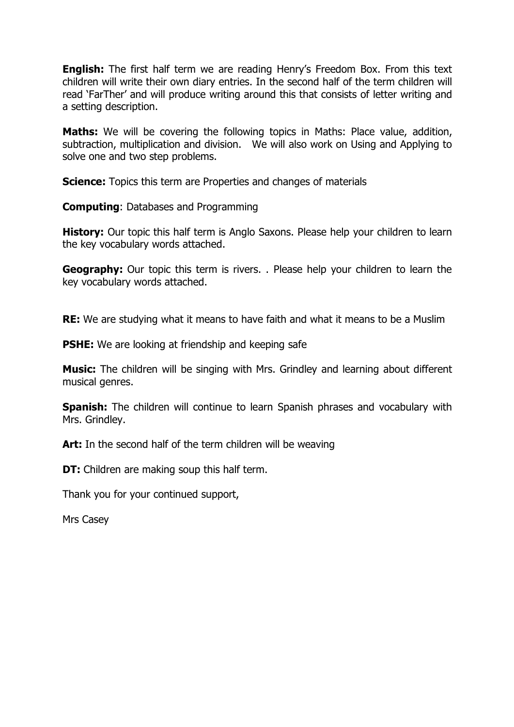**English:** The first half term we are reading Henry's Freedom Box. From this text children will write their own diary entries. In the second half of the term children will read 'FarTher' and will produce writing around this that consists of letter writing and a setting description.

**Maths:** We will be covering the following topics in Maths: Place value, addition, subtraction, multiplication and division. We will also work on Using and Applying to solve one and two step problems.

**Science:** Topics this term are Properties and changes of materials

**Computing**: Databases and Programming

**History:** Our topic this half term is Anglo Saxons. Please help your children to learn the key vocabulary words attached.

**Geography:** Our topic this term is rivers. . Please help your children to learn the key vocabulary words attached.

**RE:** We are studying what it means to have faith and what it means to be a Muslim

**PSHE:** We are looking at friendship and keeping safe

**Music:** The children will be singing with Mrs. Grindley and learning about different musical genres.

**Spanish:** The children will continue to learn Spanish phrases and vocabulary with Mrs. Grindley.

**Art:** In the second half of the term children will be weaving

**DT:** Children are making soup this half term.

Thank you for your continued support,

Mrs Casey